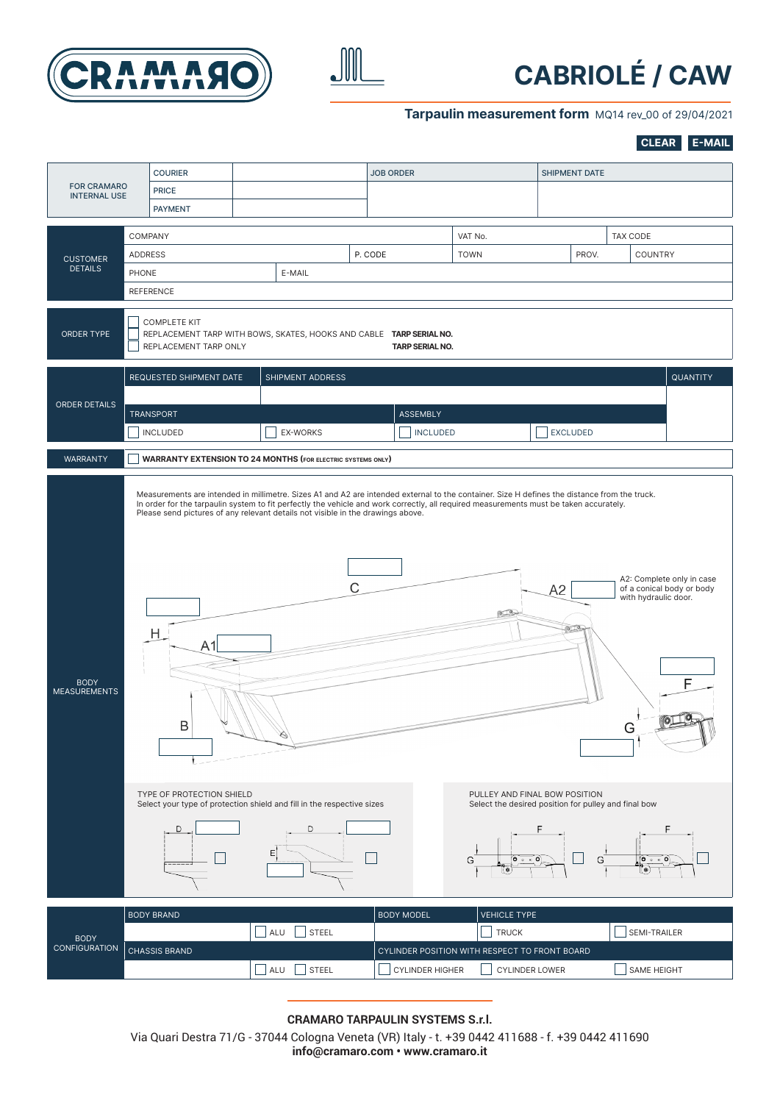



## **CABRIOLÉ / CAW**

#### **Tarpaulin measurement form** MQ14 rev\_00 of 29/04/2021

**CLEAR E-MAIL**

| <b>FOR CRAMARO</b>                 | <b>COURIER</b><br><b>PRICE</b>                                                                                                                                                                                                                                                                                                                                                      |     |                                    | <b>JOB ORDER</b>       |                                                                        | <b>SHIPMENT DATE</b> |                                                                                          |  |  |  |  |
|------------------------------------|-------------------------------------------------------------------------------------------------------------------------------------------------------------------------------------------------------------------------------------------------------------------------------------------------------------------------------------------------------------------------------------|-----|------------------------------------|------------------------|------------------------------------------------------------------------|----------------------|------------------------------------------------------------------------------------------|--|--|--|--|
| <b>INTERNAL USE</b>                | <b>PAYMENT</b>                                                                                                                                                                                                                                                                                                                                                                      |     |                                    |                        |                                                                        |                      |                                                                                          |  |  |  |  |
| <b>CUSTOMER</b><br><b>DETAILS</b>  | COMPANY                                                                                                                                                                                                                                                                                                                                                                             |     |                                    |                        | VAT No.                                                                |                      | <b>TAX CODE</b>                                                                          |  |  |  |  |
|                                    | ADDRESS                                                                                                                                                                                                                                                                                                                                                                             |     | P. CODE                            |                        | <b>TOWN</b><br>PROV.                                                   |                      | <b>COUNTRY</b>                                                                           |  |  |  |  |
|                                    | <b>PHONE</b>                                                                                                                                                                                                                                                                                                                                                                        |     | E-MAIL                             |                        |                                                                        |                      |                                                                                          |  |  |  |  |
|                                    | <b>REFERENCE</b>                                                                                                                                                                                                                                                                                                                                                                    |     |                                    |                        |                                                                        |                      |                                                                                          |  |  |  |  |
| ORDER TYPE                         | <b>COMPLETE KIT</b><br>REPLACEMENT TARP WITH BOWS, SKATES, HOOKS AND CABLE TARP SERIAL NO.<br>REPLACEMENT TARP ONLY<br>TARP SERIAL NO.                                                                                                                                                                                                                                              |     |                                    |                        |                                                                        |                      |                                                                                          |  |  |  |  |
|                                    | REQUESTED SHIPMENT DATE                                                                                                                                                                                                                                                                                                                                                             |     | SHIPMENT ADDRESS                   |                        |                                                                        |                      | QUANTITY                                                                                 |  |  |  |  |
|                                    |                                                                                                                                                                                                                                                                                                                                                                                     |     |                                    |                        |                                                                        |                      |                                                                                          |  |  |  |  |
| ORDER DETAILS                      | <b>TRANSPORT</b>                                                                                                                                                                                                                                                                                                                                                                    |     |                                    | <b>ASSEMBLY</b>        |                                                                        |                      |                                                                                          |  |  |  |  |
|                                    | <b>INCLUDED</b>                                                                                                                                                                                                                                                                                                                                                                     |     | <b>EX-WORKS</b><br><b>INCLUDED</b> |                        |                                                                        | <b>EXCLUDED</b>      |                                                                                          |  |  |  |  |
| <b>WARRANTY</b>                    | <b>WARRANTY EXTENSION TO 24 MONTHS (FOR ELECTRIC SYSTEMS ONLY)</b>                                                                                                                                                                                                                                                                                                                  |     |                                    |                        |                                                                        |                      |                                                                                          |  |  |  |  |
| <b>BODY</b><br><b>MEASUREMENTS</b> | Measurements are intended in millimetre. Sizes A1 and A2 are intended external to the container. Size H defines the distance from the truck.<br>In order for the tarpaulin system to fit perfectly the vehicle and work correctly, all required measurements must be taken accurately.<br>Please send pictures of any relevant details not visible in the drawings above.<br>н<br>Β |     | $\mathsf{C}$                       |                        |                                                                        | A2                   | A2: Complete only in case<br>of a conical body or body<br>with hydraulic door.<br>F<br>G |  |  |  |  |
|                                    | TYPE OF PROTECTION SHIELD<br>PULLEY AND FINAL BOW POSITION<br>Select your type of protection shield and fill in the respective sizes<br>Select the desired position for pulley and final bow<br>D<br>D<br>$\circ \circ \circ$<br>$0 \circ \bullet 0$<br>G<br>G                                                                                                                      |     |                                    |                        |                                                                        |                      |                                                                                          |  |  |  |  |
|                                    | <b>BODY BRAND</b>                                                                                                                                                                                                                                                                                                                                                                   |     |                                    | <b>BODY MODEL</b>      | <b>VEHICLE TYPE</b>                                                    |                      |                                                                                          |  |  |  |  |
| <b>BODY</b><br>CONFIGURATION       |                                                                                                                                                                                                                                                                                                                                                                                     |     | ALU<br><b>STEEL</b>                |                        | <b>TRUCK</b>                                                           |                      | SEMI-TRAILER                                                                             |  |  |  |  |
|                                    | <b>CHASSIS BRAND</b>                                                                                                                                                                                                                                                                                                                                                                | ALU | <b>STEEL</b>                       | <b>CYLINDER HIGHER</b> | CYLINDER POSITION WITH RESPECT TO FRONT BOARD<br><b>CYLINDER LOWER</b> |                      | SAME HEIGHT                                                                              |  |  |  |  |

Via Quari Destra 71/G - 37044 Cologna Veneta (VR) Italy - t. +39 0442 411688 - f. +39 0442 411690 **info@cramaro.com • www.cramaro.it**